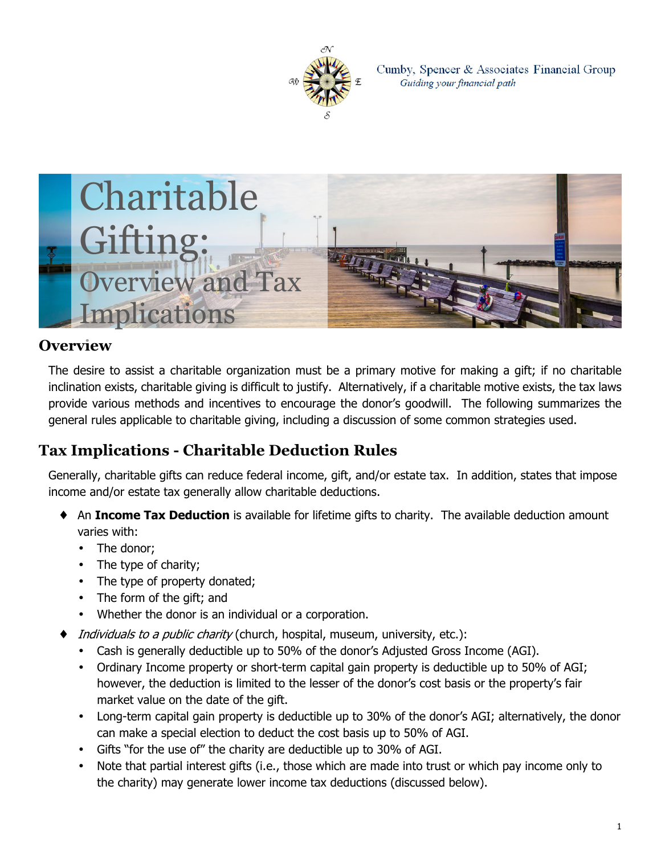

Cumby, Spencer & Associates Financial Group Guiding your financial path



#### **Overview**

The desire to assist a charitable organization must be a primary motive for making a gift; if no charitable inclination exists, charitable giving is difficult to justify. Alternatively, if a charitable motive exists, the tax laws provide various methods and incentives to encourage the donor's goodwill. The following summarizes the general rules applicable to charitable giving, including a discussion of some common strategies used.

## **Tax Implications - Charitable Deduction Rules**

Generally, charitable gifts can reduce federal income, gift, and/or estate tax. In addition, states that impose income and/or estate tax generally allow charitable deductions.

- An **Income Tax Deduction** is available for lifetime gifts to charity. The available deduction amount varies with:
	- The donor;
	- The type of charity;
	- The type of property donated;
	- The form of the gift; and
	- Whether the donor is an individual or a corporation.
	- *Individuals to a public charity* (church, hospital, museum, university, etc.):
	- Cash is generally deductible up to 50% of the donor's Adjusted Gross Income (AGI).
	- Ordinary Income property or short-term capital gain property is deductible up to 50% of AGI; however, the deduction is limited to the lesser of the donor's cost basis or the property's fair market value on the date of the gift.
	- Long-term capital gain property is deductible up to 30% of the donor's AGI; alternatively, the donor can make a special election to deduct the cost basis up to 50% of AGI.
	- Gifts "for the use of" the charity are deductible up to 30% of AGI.
	- Note that partial interest gifts (i.e., those which are made into trust or which pay income only to the charity) may generate lower income tax deductions (discussed below).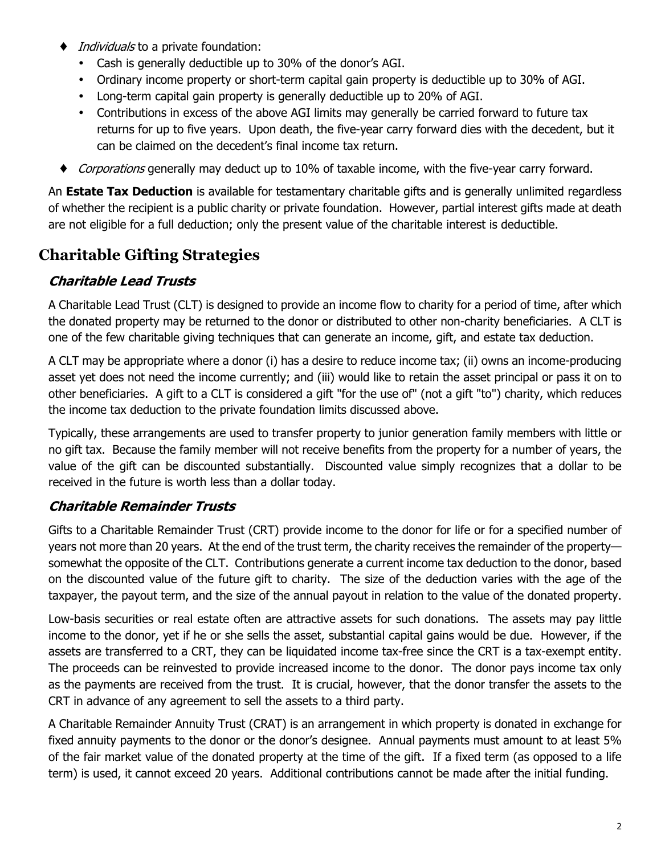- *Individuals* to a private foundation:
	- Cash is generally deductible up to 30% of the donor's AGI.
	- Ordinary income property or short-term capital gain property is deductible up to 30% of AGI.
	- Long-term capital gain property is generally deductible up to 20% of AGI.
	- Contributions in excess of the above AGI limits may generally be carried forward to future tax returns for up to five years. Upon death, the five-year carry forward dies with the decedent, but it can be claimed on the decedent's final income tax return.
- ♦ *Corporations* generally may deduct up to 10% of taxable income, with the five-year carry forward.

An **Estate Tax Deduction** is available for testamentary charitable gifts and is generally unlimited regardless of whether the recipient is a public charity or private foundation. However, partial interest gifts made at death are not eligible for a full deduction; only the present value of the charitable interest is deductible.

### **Charitable Gifting Strategies**

#### *Charitable Lead Trusts*

A Charitable Lead Trust (CLT) is designed to provide an income flow to charity for a period of time, after which the donated property may be returned to the donor or distributed to other non-charity beneficiaries. A CLT is one of the few charitable giving techniques that can generate an income, gift, and estate tax deduction.

A CLT may be appropriate where a donor (i) has a desire to reduce income tax; (ii) owns an income-producing asset yet does not need the income currently; and (iii) would like to retain the asset principal or pass it on to other beneficiaries. A gift to a CLT is considered a gift "for the use of" (not a gift "to") charity, which reduces the income tax deduction to the private foundation limits discussed above.

Typically, these arrangements are used to transfer property to junior generation family members with little or no gift tax. Because the family member will not receive benefits from the property for a number of years, the value of the gift can be discounted substantially. Discounted value simply recognizes that a dollar to be received in the future is worth less than a dollar today.

#### *Charitable Remainder Trusts*

Gifts to a Charitable Remainder Trust (CRT) provide income to the donor for life or for a specified number of years not more than 20 years. At the end of the trust term, the charity receives the remainder of the property somewhat the opposite of the CLT. Contributions generate a current income tax deduction to the donor, based on the discounted value of the future gift to charity. The size of the deduction varies with the age of the taxpayer, the payout term, and the size of the annual payout in relation to the value of the donated property.

Low-basis securities or real estate often are attractive assets for such donations. The assets may pay little income to the donor, yet if he or she sells the asset, substantial capital gains would be due. However, if the assets are transferred to a CRT, they can be liquidated income tax-free since the CRT is a tax-exempt entity. The proceeds can be reinvested to provide increased income to the donor. The donor pays income tax only as the payments are received from the trust. It is crucial, however, that the donor transfer the assets to the CRT in advance of any agreement to sell the assets to a third party.

A Charitable Remainder Annuity Trust (CRAT) is an arrangement in which property is donated in exchange for fixed annuity payments to the donor or the donor's designee. Annual payments must amount to at least 5% of the fair market value of the donated property at the time of the gift. If a fixed term (as opposed to a life term) is used, it cannot exceed 20 years. Additional contributions cannot be made after the initial funding.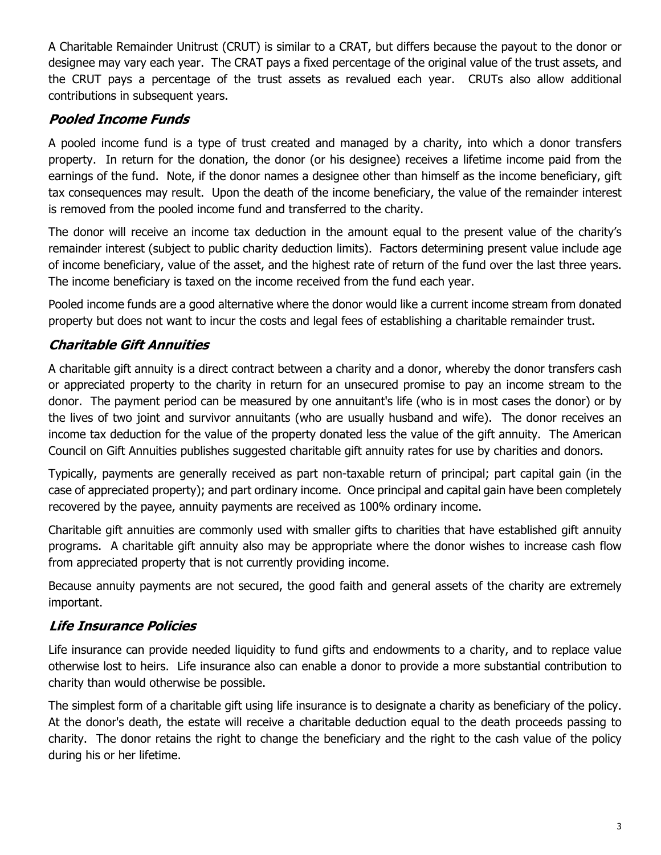A Charitable Remainder Unitrust (CRUT) is similar to a CRAT, but differs because the payout to the donor or designee may vary each year. The CRAT pays a fixed percentage of the original value of the trust assets, and the CRUT pays a percentage of the trust assets as revalued each year. CRUTs also allow additional contributions in subsequent years.

#### *Pooled Income Funds*

A pooled income fund is a type of trust created and managed by a charity, into which a donor transfers property. In return for the donation, the donor (or his designee) receives a lifetime income paid from the earnings of the fund. Note, if the donor names a designee other than himself as the income beneficiary, gift tax consequences may result. Upon the death of the income beneficiary, the value of the remainder interest is removed from the pooled income fund and transferred to the charity.

The donor will receive an income tax deduction in the amount equal to the present value of the charity's remainder interest (subject to public charity deduction limits). Factors determining present value include age of income beneficiary, value of the asset, and the highest rate of return of the fund over the last three years. The income beneficiary is taxed on the income received from the fund each year.

Pooled income funds are a good alternative where the donor would like a current income stream from donated property but does not want to incur the costs and legal fees of establishing a charitable remainder trust.

### *Charitable Gift Annuities*

A charitable gift annuity is a direct contract between a charity and a donor, whereby the donor transfers cash or appreciated property to the charity in return for an unsecured promise to pay an income stream to the donor. The payment period can be measured by one annuitant's life (who is in most cases the donor) or by the lives of two joint and survivor annuitants (who are usually husband and wife). The donor receives an income tax deduction for the value of the property donated less the value of the gift annuity. The American Council on Gift Annuities publishes suggested charitable gift annuity rates for use by charities and donors.

Typically, payments are generally received as part non-taxable return of principal; part capital gain (in the case of appreciated property); and part ordinary income. Once principal and capital gain have been completely recovered by the payee, annuity payments are received as 100% ordinary income.

Charitable gift annuities are commonly used with smaller gifts to charities that have established gift annuity programs. A charitable gift annuity also may be appropriate where the donor wishes to increase cash flow from appreciated property that is not currently providing income.

Because annuity payments are not secured, the good faith and general assets of the charity are extremely important.

### *Life Insurance Policies*

Life insurance can provide needed liquidity to fund gifts and endowments to a charity, and to replace value otherwise lost to heirs. Life insurance also can enable a donor to provide a more substantial contribution to charity than would otherwise be possible.

The simplest form of a charitable gift using life insurance is to designate a charity as beneficiary of the policy. At the donor's death, the estate will receive a charitable deduction equal to the death proceeds passing to charity. The donor retains the right to change the beneficiary and the right to the cash value of the policy during his or her lifetime.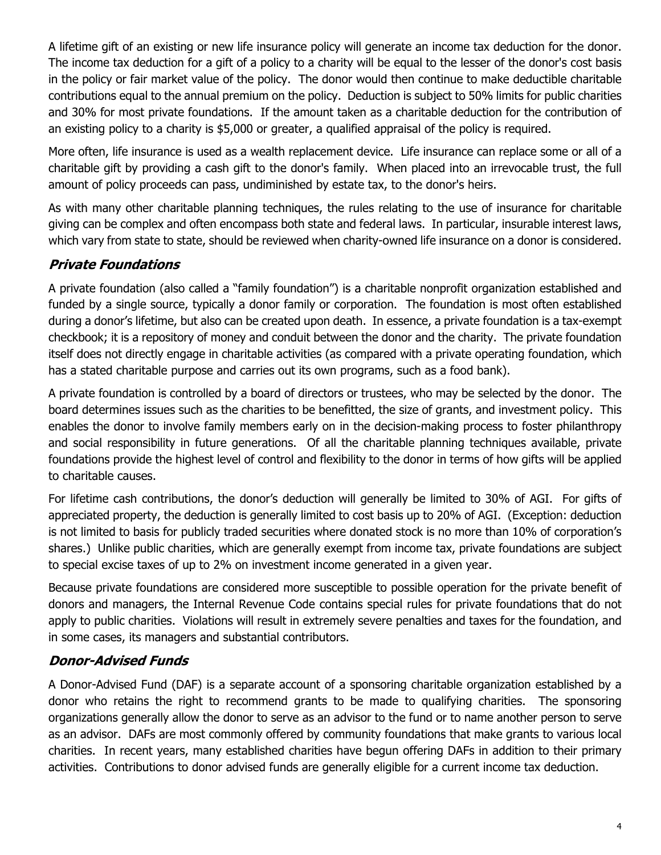A lifetime gift of an existing or new life insurance policy will generate an income tax deduction for the donor. The income tax deduction for a gift of a policy to a charity will be equal to the lesser of the donor's cost basis in the policy or fair market value of the policy. The donor would then continue to make deductible charitable contributions equal to the annual premium on the policy. Deduction is subject to 50% limits for public charities and 30% for most private foundations. If the amount taken as a charitable deduction for the contribution of an existing policy to a charity is \$5,000 or greater, a qualified appraisal of the policy is required.

More often, life insurance is used as a wealth replacement device. Life insurance can replace some or all of a charitable gift by providing a cash gift to the donor's family. When placed into an irrevocable trust, the full amount of policy proceeds can pass, undiminished by estate tax, to the donor's heirs.

As with many other charitable planning techniques, the rules relating to the use of insurance for charitable giving can be complex and often encompass both state and federal laws. In particular, insurable interest laws, which vary from state to state, should be reviewed when charity-owned life insurance on a donor is considered.

### *Private Foundations*

A private foundation (also called a "family foundation") is a charitable nonprofit organization established and funded by a single source, typically a donor family or corporation. The foundation is most often established during a donor's lifetime, but also can be created upon death. In essence, a private foundation is a tax-exempt checkbook; it is a repository of money and conduit between the donor and the charity. The private foundation itself does not directly engage in charitable activities (as compared with a private operating foundation, which has a stated charitable purpose and carries out its own programs, such as a food bank).

A private foundation is controlled by a board of directors or trustees, who may be selected by the donor. The board determines issues such as the charities to be benefitted, the size of grants, and investment policy. This enables the donor to involve family members early on in the decision-making process to foster philanthropy and social responsibility in future generations. Of all the charitable planning techniques available, private foundations provide the highest level of control and flexibility to the donor in terms of how gifts will be applied to charitable causes.

For lifetime cash contributions, the donor's deduction will generally be limited to 30% of AGI. For gifts of appreciated property, the deduction is generally limited to cost basis up to 20% of AGI. (Exception: deduction is not limited to basis for publicly traded securities where donated stock is no more than 10% of corporation's shares.) Unlike public charities, which are generally exempt from income tax, private foundations are subject to special excise taxes of up to 2% on investment income generated in a given year.

Because private foundations are considered more susceptible to possible operation for the private benefit of donors and managers, the Internal Revenue Code contains special rules for private foundations that do not apply to public charities. Violations will result in extremely severe penalties and taxes for the foundation, and in some cases, its managers and substantial contributors.

### *Donor-Advised Funds*

A Donor-Advised Fund (DAF) is a separate account of a sponsoring charitable organization established by a donor who retains the right to recommend grants to be made to qualifying charities. The sponsoring organizations generally allow the donor to serve as an advisor to the fund or to name another person to serve as an advisor. DAFs are most commonly offered by community foundations that make grants to various local charities. In recent years, many established charities have begun offering DAFs in addition to their primary activities. Contributions to donor advised funds are generally eligible for a current income tax deduction.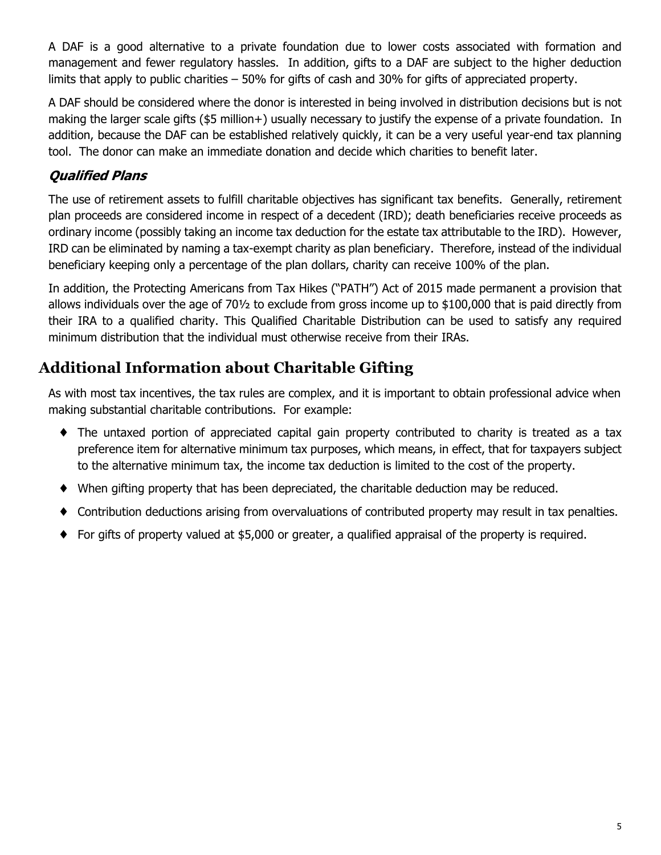A DAF is a good alternative to a private foundation due to lower costs associated with formation and management and fewer regulatory hassles. In addition, gifts to a DAF are subject to the higher deduction limits that apply to public charities – 50% for gifts of cash and 30% for gifts of appreciated property.

A DAF should be considered where the donor is interested in being involved in distribution decisions but is not making the larger scale gifts (\$5 million+) usually necessary to justify the expense of a private foundation. In addition, because the DAF can be established relatively quickly, it can be a very useful year-end tax planning tool. The donor can make an immediate donation and decide which charities to benefit later.

### *Qualified Plans*

The use of retirement assets to fulfill charitable objectives has significant tax benefits. Generally, retirement plan proceeds are considered income in respect of a decedent (IRD); death beneficiaries receive proceeds as ordinary income (possibly taking an income tax deduction for the estate tax attributable to the IRD). However, IRD can be eliminated by naming a tax-exempt charity as plan beneficiary. Therefore, instead of the individual beneficiary keeping only a percentage of the plan dollars, charity can receive 100% of the plan.

In addition, the Protecting Americans from Tax Hikes ("PATH") Act of 2015 made permanent a provision that allows individuals over the age of 70½ to exclude from gross income up to \$100,000 that is paid directly from their IRA to a qualified charity. This Qualified Charitable Distribution can be used to satisfy any required minimum distribution that the individual must otherwise receive from their IRAs.

# **Additional Information about Charitable Gifting**

As with most tax incentives, the tax rules are complex, and it is important to obtain professional advice when making substantial charitable contributions. For example:

- ♦ The untaxed portion of appreciated capital gain property contributed to charity is treated as a tax preference item for alternative minimum tax purposes, which means, in effect, that for taxpayers subject to the alternative minimum tax, the income tax deduction is limited to the cost of the property.
- ♦ When gifting property that has been depreciated, the charitable deduction may be reduced.
- ♦ Contribution deductions arising from overvaluations of contributed property may result in tax penalties.
- ♦ For gifts of property valued at \$5,000 or greater, a qualified appraisal of the property is required.